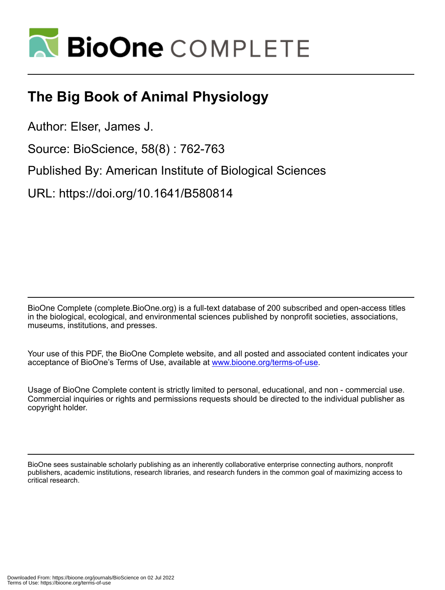

# **The Big Book of Animal Physiology**

Author: Elser, James J.

Source: BioScience, 58(8) : 762-763

Published By: American Institute of Biological Sciences

URL: https://doi.org/10.1641/B580814

BioOne Complete (complete.BioOne.org) is a full-text database of 200 subscribed and open-access titles in the biological, ecological, and environmental sciences published by nonprofit societies, associations, museums, institutions, and presses.

Your use of this PDF, the BioOne Complete website, and all posted and associated content indicates your acceptance of BioOne's Terms of Use, available at www.bioone.org/terms-of-use.

Usage of BioOne Complete content is strictly limited to personal, educational, and non - commercial use. Commercial inquiries or rights and permissions requests should be directed to the individual publisher as copyright holder.

BioOne sees sustainable scholarly publishing as an inherently collaborative enterprise connecting authors, nonprofit publishers, academic institutions, research libraries, and research funders in the common goal of maximizing access to critical research.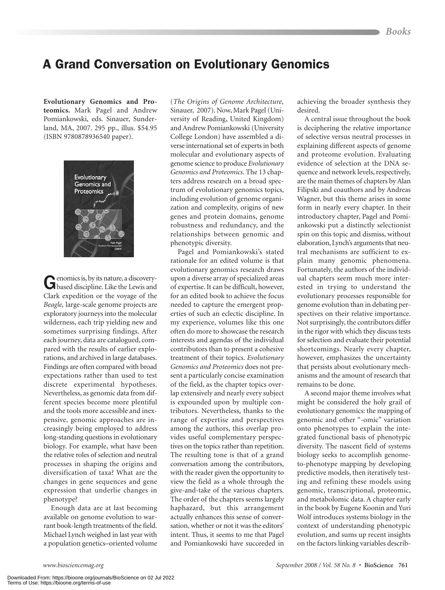# A Grand Conversation on Evolutionary Genomics

**Evolutionary Genomics and Proteomics.** Mark Pagel and Andrew Pomiankowski, eds. Sinauer, Sunderland, MA, 2007. 295 pp., illus. \$54.95 (ISBN 9780878936540 paper).



Genomics is, by its nature, a discovery-based discipline. Like the Lewis and Clark expedition or the voyage of the *Beagle,* large-scale genome projects are exploratory journeys into the molecular wilderness, each trip yielding new and sometimes surprising findings. After each journey, data are catalogued, compared with the results of earlier explorations, and archived in large databases. Findings are often compared with broad expectations rather than used to test discrete experimental hypotheses. Nevertheless, as genomic data from different species become more plentiful and the tools more accessible and inexpensive, genomic approaches are increasingly being employed to address long-standing questions in evolutionary biology. For example, what have been the relative roles of selection and neutral processes in shaping the origins and diversification of taxa? What are the changes in gene sequences and gene expression that underlie changes in phenotype?

Enough data are at last becoming available on genome evolution to warrant book-length treatments of the field. Michael Lynch weighed in last year with a population genetics–oriented volume

(*The Origins of Genome Architecture,* Sinauer, 2007). Now, Mark Pagel (University of Reading, United Kingdom) and Andrew Pomiankowski (University College London) have assembled a diverse international set of experts in both molecular and evolutionary aspects of genome science to produce *Evolutionary Genomics and Proteomics.* The 13 chapters address research on a broad spectrum of evolutionary genomics topics, including evolution of genome organization and complexity, origins of new genes and protein domains, genome robustness and redundancy, and the relationships between genomic and phenotypic diversity.

Pagel and Pomiankowski's stated rationale for an edited volume is that evolutionary genomics research draws upon a diverse array of specialized areas of expertise. It can be difficult, however, for an edited book to achieve the focus needed to capture the emergent properties of such an eclectic discipline. In my experience, volumes like this one often do more to showcase the research interests and agendas of the individual contributors than to present a cohesive treatment of their topics. *Evolutionary Genomics and Proteomics* does not present a particularly concise examination of the field, as the chapter topics overlap extensively and nearly every subject is expounded upon by multiple contributors. Nevertheless, thanks to the range of expertise and perspectives among the authors, this overlap provides useful complementary perspectives on the topics rather than repetition. The resulting tone is that of a grand conversation among the contributors, with the reader given the opportunity to view the field as a whole through the give-and-take of the various chapters. The order of the chapters seems largely haphazard, but this arrangement actually enhances this sense of conversation, whether or not it was the editors' intent. Thus, it seems to me that Pagel and Pomiankowski have succeeded in

achieving the broader synthesis they desired.

A central issue throughout the book is deciphering the relative importance of selective versus neutral processes in explaining different aspects of genome and proteome evolution. Evaluating evidence of selection at the DNA sequence and network levels, respectively, are the main themes of chapters by Alan Filipski and coauthors and by Andreas Wagner, but this theme arises in some form in nearly every chapter. In their introductory chapter, Pagel and Pomiankowski put a distinctly selectionist spin on this topic and dismiss, without elaboration, Lynch's arguments that neutral mechanisms are sufficient to explain many genomic phenomena. Fortunately, the authors of the individual chapters seem much more interested in trying to understand the evolutionary processes responsible for genome evolution than in debating perspectives on their relative importance. Not surprisingly, the contributors differ in the rigor with which they discuss tests for selection and evaluate their potential shortcomings. Nearly every chapter, however, emphasizes the uncertainty that persists about evolutionary mechanisms and the amount of research that remains to be done.

A second major theme involves what might be considered the holy grail of evolutionary genomics: the mapping of genomic and other "-omic" variation onto phenotypes to explain the integrated functional basis of phenotypic diversity. The nascent field of systems biology seeks to accomplish genometo-phenotype mapping by developing predictive models, then iteratively testing and refining these models using genomic, transcriptional, proteomic, and metabolomic data. A chapter early in the book by Eugene Koonin and Yuri Wolf introduces systems biology in the context of understanding phenotypic evolution, and sums up recent insights on the factors linking variables describ-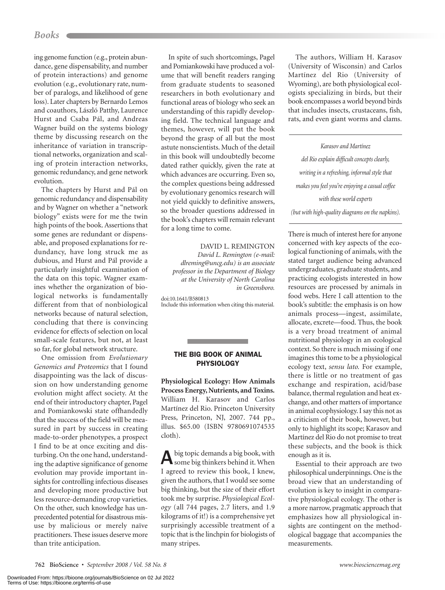# *Books*

ing genome function (e.g., protein abundance, gene dispensability, and number of protein interactions) and genome evolution (e.g., evolutionary rate, number of paralogs, and likelihood of gene loss). Later chapters by Bernardo Lemos and coauthors, László Patthy, Laurence Hurst and Csaba Pál, and Andreas Wagner build on the systems biology theme by discussing research on the inheritance of variation in transcriptional networks, organization and scaling of protein interaction networks, genomic redundancy, and gene network evolution.

The chapters by Hurst and Pál on genomic redundancy and dispensability and by Wagner on whether a "network biology" exists were for me the twin high points of the book. Assertions that some genes are redundant or dispensable, and proposed explanations for redundancy, have long struck me as dubious, and Hurst and Pál provide a particularly insightful examination of the data on this topic. Wagner examines whether the organization of biological networks is fundamentally different from that of nonbiological networks because of natural selection, concluding that there is convincing evidence for effects of selection on local small-scale features, but not, at least so far, for global network structure.

One omission from *Evolutionary Genomics and Proteomics* that I found disappointing was the lack of discussion on how understanding genome evolution might affect society. At the end of their introductory chapter, Pagel and Pomiankowski state offhandedly that the success of the field will be measured in part by success in creating made-to-order phenotypes, a prospect I find to be at once exciting and disturbing. On the one hand, understanding the adaptive significance of genome evolution may provide important insights for controlling infectious diseases and developing more productive but less resource-demanding crop varieties. On the other, such knowledge has unprecedented potential for disastrous misuse by malicious or merely naïve practitioners. These issues deserve more than trite anticipation.

In spite of such shortcomings, Pagel and Pomiankowski have produced a volume that will benefit readers ranging from graduate students to seasoned researchers in both evolutionary and functional areas of biology who seek an understanding of this rapidly developing field. The technical language and themes, however, will put the book beyond the grasp of all but the most astute nonscientists. Much of the detail in this book will undoubtedly become dated rather quickly, given the rate at which advances are occurring. Even so, the complex questions being addressed by evolutionary genomics research will not yield quickly to definitive answers, so the broader questions addressed in the book's chapters will remain relevant for a long time to come.

DAVID L. REMINGTON *David L. Remington (e-mail: dlreming@uncg.edu) is an associate professor in the Department of Biology at the University of North Carolina in Greensboro.*

doi:10.1641/B580813 Include this information when citing this material.

#### THE BIG BOOK OF ANIMAL **PHYSIOLOGY**

**Physiological Ecology: How Animals Process Energy, Nutrients, and Toxins.** William H. Karasov and Carlos Martínez del Rio. Princeton University Press, Princeton, NJ, 2007. 744 pp., illus. \$65.00 (ISBN 9780691074535 cloth).

Abig topic demands a big book, with some big thinkers behind it. When I agreed to review this book, I knew, given the authors, that I would see some big thinking, but the size of their effort took me by surprise. *Physiological Ecology* (all 744 pages, 2.7 liters, and 1.9 kilograms of it!) is a comprehensive yet surprisingly accessible treatment of a topic that is the linchpin for biologists of many stripes.

The authors, William H. Karasov (University of Wisconsin) and Carlos Martínez del Rio (University of Wyoming), are both physiological ecologists specializing in birds, but their book encompasses a world beyond birds that includes insects, crustaceans, fish, rats, and even giant worms and clams.

*Karasov and Martínez del Rio explain difficult concepts clearly, writing in a refreshing, informal style that makes you feel you're enjoying a casual coffee with these world experts (but with high-quality diagrams on the napkins).* 

There is much of interest here for anyone concerned with key aspects of the ecological functioning of animals, with the stated target audience being advanced undergraduates, graduate students, and practicing ecologists interested in how resources are processed by animals in food webs. Here I call attention to the book's subtitle: the emphasis is on how animals process—ingest, assimilate, allocate, excrete—food. Thus, the book is a very broad treatment of animal nutritional physiology in an ecological context. So there is much missing if one imagines this tome to be a physiological ecology text, *sensu lato.* For example, there is little or no treatment of gas exchange and respiration, acid/base balance, thermal regulation and heat exchange, and other matters of importance in animal ecophysiology. I say this not as a criticism of their book, however, but only to highlight its scope; Karasov and Martínez del Rio do not promise to treat these subjects, and the book is thick enough as it is.

Essential to their approach are two philosophical underpinnings. One is the broad view that an understanding of evolution is key to insight in comparative physiological ecology. The other is a more narrow, pragmatic approach that emphasizes how all physiological insights are contingent on the methodological baggage that accompanies the measurements.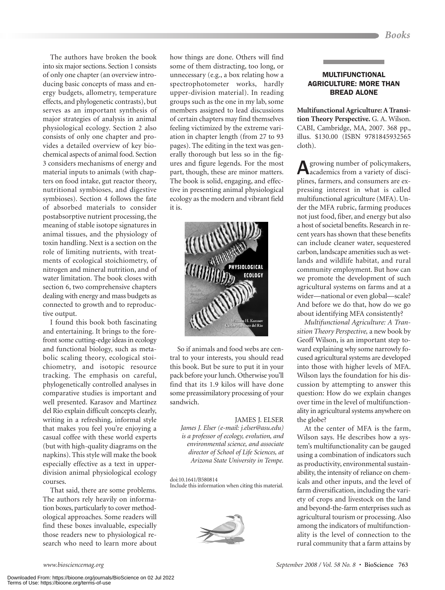The authors have broken the book into six major sections. Section 1 consists of only one chapter (an overview introducing basic concepts of mass and energy budgets, allometry, temperature effects, and phylogenetic contrasts), but serves as an important synthesis of major strategies of analysis in animal physiological ecology. Section 2 also consists of only one chapter and provides a detailed overview of key biochemical aspects of animal food. Section 3 considers mechanisms of energy and material inputs to animals (with chapters on food intake, gut reactor theory, nutritional symbioses, and digestive symbioses). Section 4 follows the fate of absorbed materials to consider postabsorptive nutrient processing, the meaning of stable isotope signatures in animal tissues, and the physiology of toxin handling. Next is a section on the role of limiting nutrients, with treatments of ecological stoichiometry, of nitrogen and mineral nutrition, and of water limitation. The book closes with section 6, two comprehensive chapters dealing with energy and mass budgets as connected to growth and to reproductive output.

I found this book both fascinating and entertaining. It brings to the forefront some cutting-edge ideas in ecology and functional biology, such as metabolic scaling theory, ecological stoichiometry, and isotopic resource tracking. The emphasis on careful, phylogenetically controlled analyses in comparative studies is important and well presented. Karasov and Martínez del Rio explain difficult concepts clearly, writing in a refreshing, informal style that makes you feel you're enjoying a casual coffee with these world experts (but with high-quality diagrams on the napkins). This style will make the book especially effective as a text in upperdivision animal physiological ecology courses.

That said, there are some problems. The authors rely heavily on information boxes, particularly to cover methodological approaches. Some readers will find these boxes invaluable, especially those readers new to physiological research who need to learn more about

how things are done. Others will find some of them distracting, too long, or unnecessary (e.g., a box relating how a spectrophotometer works, hardly upper-division material). In reading groups such as the one in my lab, some members assigned to lead discussions of certain chapters may find themselves feeling victimized by the extreme variation in chapter length (from 27 to 93 pages). The editing in the text was generally thorough but less so in the figures and figure legends. For the most part, though, these are minor matters. The book is solid, engaging, and effective in presenting animal physiological ecology as the modern and vibrant field it is.



So if animals and food webs are central to your interests, you should read this book. But be sure to put it in your pack before your lunch. Otherwise you'll find that its 1.9 kilos will have done some preassimilatory processing of your sandwich.

#### JAMES J. ELSER

*James J. Elser (e-mail: j.elser@asu.edu) is a professor of ecology, evolution, and environmental science, and associate director of School of Life Sciences, at Arizona State University in Tempe.*

doi:10.1641/B580814 Include this information when citing this material.



#### MULTIFUNCTIONAL AGRICULTURE: MORE THAN BREAD ALONE

**Multifunctional Agriculture: A Transition Theory Perspective.** G. A. Wilson. CABI, Cambridge, MA, 2007. 368 pp., illus. \$130.00 (ISBN 9781845932565 cloth).

Agrowing number of policymakers, academics from a variety of disciplines, farmers, and consumers are expressing interest in what is called multifunctional agriculture (MFA). Under the MFA rubric, farming produces not just food, fiber, and energy but also a host of societal benefits. Research in recent years has shown that these benefits can include cleaner water, sequestered carbon, landscape amenities such as wetlands and wildlife habitat, and rural community employment. But how can we promote the development of such agricultural systems on farms and at a wider—national or even global—scale? And before we do that, how do we go about identifying MFA consistently?

*Multifunctional Agriculture: A Transition Theory Perspective,* a new book by Geoff Wilson, is an important step toward explaining why some narrowly focused agricultural systems are developed into those with higher levels of MFA. Wilson lays the foundation for his discussion by attempting to answer this question: How do we explain changes over time in the level of multifunctionality in agricultural systems anywhere on the globe?

At the center of MFA is the farm, Wilson says. He describes how a system's multifunctionality can be gauged using a combination of indicators such as productivity, environmental sustainability, the intensity of reliance on chemicals and other inputs, and the level of farm diversification, including the variety of crops and livestock on the land and beyond-the-farm enterprises such as agricultural tourism or processing. Also among the indicators of multifunctionality is the level of connection to the rural community that a farm attains by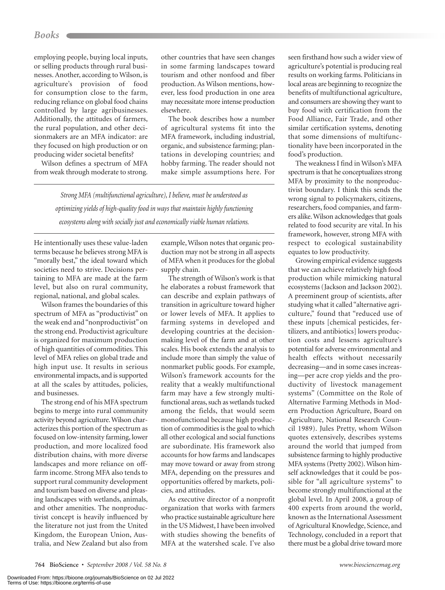# *Books*

employing people, buying local inputs, or selling products through rural businesses. Another, according to Wilson, is agriculture's provision of food for consumption close to the farm, reducing reliance on global food chains controlled by large agribusinesses. Additionally, the attitudes of farmers, the rural population, and other decisionmakers are an MFA indicator: are they focused on high production or on producing wider societal benefits?

Wilson defines a spectrum of MFA from weak through moderate to strong.

other countries that have seen changes in some farming landscapes toward tourism and other nonfood and fiber production. As Wilson mentions, however, less food production in one area may necessitate more intense production elsewhere.

The book describes how a number of agricultural systems fit into the MFA framework, including industrial, organic, and subsistence farming; plantations in developing countries; and hobby farming. The reader should not make simple assumptions here. For

*Strong MFA (multifunctional agriculture), I believe, must be understood as optimizing yields of high-quality food in ways that maintain highly functioning ecosystems along with socially just and economically viable human relations.*

He intentionally uses these value-laden terms because he believes strong MFA is "morally best," the ideal toward which societies need to strive. Decisions pertaining to MFA are made at the farm level, but also on rural community, regional, national, and global scales.

Wilson frames the boundaries of this spectrum of MFA as "productivist" on the weak end and "nonproductivist" on the strong end. Productivist agriculture is organized for maximum production of high quantities of commodities. This level of MFA relies on global trade and high input use. It results in serious environmental impacts, and is supported at all the scales by attitudes, policies, and businesses.

The strong end of his MFA spectrum begins to merge into rural community activity beyond agriculture. Wilson characterizes this portion of the spectrum as focused on low-intensity farming, lower production, and more localized food distribution chains, with more diverse landscapes and more reliance on offfarm income. Strong MFA also tends to support rural community development and tourism based on diverse and pleasing landscapes with wetlands, animals, and other amenities. The nonproductivist concept is heavily influenced by the literature not just from the United Kingdom, the European Union, Australia, and New Zealand but also from

example, Wilson notes that organic production may not be strong in all aspects of MFA when it produces for the global supply chain.

The strength of Wilson's work is that he elaborates a robust framework that can describe and explain pathways of transition in agriculture toward higher or lower levels of MFA. It applies to farming systems in developed and developing countries at the decisionmaking level of the farm and at other scales. His book extends the analysis to include more than simply the value of nonmarket public goods. For example, Wilson's framework accounts for the reality that a weakly multifunctional farm may have a few strongly multifunctional areas, such as wetlands tucked among the fields, that would seem monofunctional because high production of commodities is the goal to which all other ecological and social functions are subordinate. His framework also accounts for how farms and landscapes may move toward or away from strong MFA, depending on the pressures and opportunities offered by markets, policies, and attitudes.

As executive director of a nonprofit organization that works with farmers who practice sustainable agriculture here in the US Midwest, I have been involved with studies showing the benefits of MFA at the watershed scale. I've also

seen firsthand how such a wider view of agriculture's potential is producing real results on working farms. Politicians in local areas are beginning to recognize the benefits of multifunctional agriculture, and consumers are showing they want to buy food with certification from the Food Alliance, Fair Trade, and other similar certification systems, denoting that some dimensions of multifunctionality have been incorporated in the food's production.

The weakness I find in Wilson's MFA spectrum is that he conceptualizes strong MFA by proximity to the nonproductivist boundary. I think this sends the wrong signal to policymakers, citizens, researchers, food companies, and farmers alike. Wilson acknowledges that goals related to food security are vital. In his framework, however, strong MFA with respect to ecological sustainability equates to low productivity.

Growing empirical evidence suggests that we can achieve relatively high food production while mimicking natural ecosystems (Jackson and Jackson 2002). A preeminent group of scientists, after studying what it called "alternative agriculture," found that "reduced use of these inputs [chemical pesticides, fertilizers, and antibiotics] lowers production costs and lessens agriculture's potential for adverse environmental and health effects without necessarily decreasing—and in some cases increasing—per acre crop yields and the productivity of livestock management systems" (Committee on the Role of Alternative Farming Methods in Modern Production Agriculture, Board on Agriculture, National Research Council 1989). Jules Pretty, whom Wilson quotes extensively, describes systems around the world that jumped from subsistence farming to highly productive MFA systems (Pretty 2002). Wilson himself acknowledges that it could be possible for "all agriculture systems" to become strongly multifunctional at the global level. In April 2008, a group of 400 experts from around the world, known as the International Assessment of Agricultural Knowledge, Science, and Technology, concluded in a report that there must be a global drive toward more